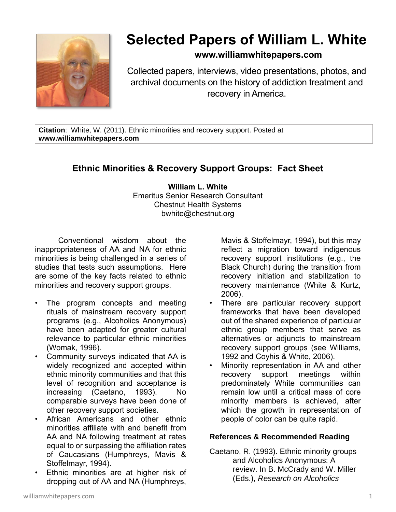

## **Selected Papers of William L. White**

## **www.williamwhitepapers.com**

Collected papers, interviews, video presentations, photos, and archival documents on the history of addiction treatment and recovery in America.

**Citation**: White, W. (2011). Ethnic minorities and recovery support. Posted at **www.williamwhitepapers.com**

## **Ethnic Minorities & Recovery Support Groups: Fact Sheet**

**William L. White** Emeritus Senior Research Consultant Chestnut Health Systems bwhite@chestnut.org

Conventional wisdom about the inappropriateness of AA and NA for ethnic minorities is being challenged in a series of studies that tests such assumptions. Here are some of the key facts related to ethnic minorities and recovery support groups.

- The program concepts and meeting rituals of mainstream recovery support programs (e.g., Alcoholics Anonymous) have been adapted for greater cultural relevance to particular ethnic minorities (Womak, 1996).
- Community surveys indicated that AA is widely recognized and accepted within ethnic minority communities and that this level of recognition and acceptance is increasing (Caetano, 1993). No comparable surveys have been done of other recovery support societies.
- African Americans and other ethnic minorities affiliate with and benefit from AA and NA following treatment at rates equal to or surpassing the affiliation rates of Caucasians (Humphreys, Mavis & Stoffelmayr, 1994).
- Ethnic minorities are at higher risk of dropping out of AA and NA (Humphreys,

Mavis & Stoffelmayr, 1994), but this may reflect a migration toward indigenous recovery support institutions (e.g., the Black Church) during the transition from recovery initiation and stabilization to recovery maintenance (White & Kurtz, 2006).

- There are particular recovery support frameworks that have been developed out of the shared experience of particular ethnic group members that serve as alternatives or adjuncts to mainstream recovery support groups (see Williams, 1992 and Coyhis & White, 2006).
- Minority representation in AA and other recovery support meetings within predominately White communities can remain low until a critical mass of core minority members is achieved, after which the growth in representation of people of color can be quite rapid.

## **References & Recommended Reading**

Caetano, R. (1993). Ethnic minority groups and Alcoholics Anonymous: A review. In B. McCrady and W. Miller (Eds.), *Research on Alcoholics*